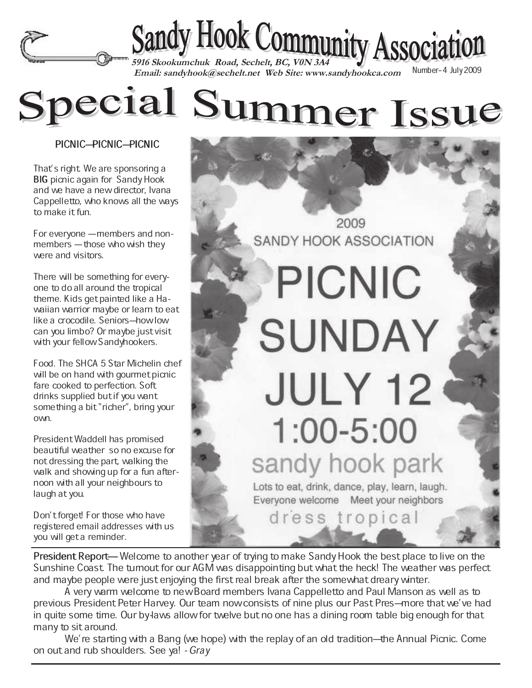

 **Email: sandyhook@sechelt.net Web Site: www.sandyhookca.com** 

Special Summer Issue

PICNIC-PICNIC-PICNIC

That's right. We are sponsoring a BIG picnic again for Sandy Hook and we have a new director, Ivana Cappelletto, who knows all the ways to make it fun.

For everyone – members and nonmembers - those who wish they were and visitors.

There will be something for everyone to do all around the tropical theme. Kids get painted like a Hawaiian warrior maybe or learn to eat like a crocodile. Seniors-how low can you limbo? Or maybe just visit with your fellow Sandyhookers.

Food. The SHCA 5 Star Michelin chef will be on hand with gourmet picnic fare cooked to perfection. Soft drinks supplied but if you want something a bit "richer", bring your own.

President Waddell has promised beautiful weather so no excuse for not dressing the part, walking the walk and showing up for a fun afternoon with all your neighbours to laugh at you.

Don't forget! For those who have registered email addresses with us you will get a reminder.

2009 **SANDY HOOK ASSOCIATION** 

## **PICNIC SUNDAY JULY 12**  $1:00 - 5:00$ sandy hook park

Lots to eat, drink, dance, play, learn, laugh. Everyone welcome Meet your neighbors

dress tropical

President Report—Welcome to another year of trying to make Sandy Hook the best place to live on the Sunshine Coast. The turnout for our AGM was disappointing but what the heck! The weather was perfect and maybe people were just enjoying the first real break after the somewhat dreary winter.

A very warm welcome to new Board members Ivana Cappelletto and Paul Manson as well as to previous President Peter Harvey. Our team now consists of nine plus our Past Pres—more that we've had in quite some time. Our by-laws allow for twelve but no one has a dining room table big enough for that many to sit around.

We're starting with a Bang (we hope) with the replay of an old tradition–the Annual Picnic. Come on out and rub shoulders. See ya! - Gray